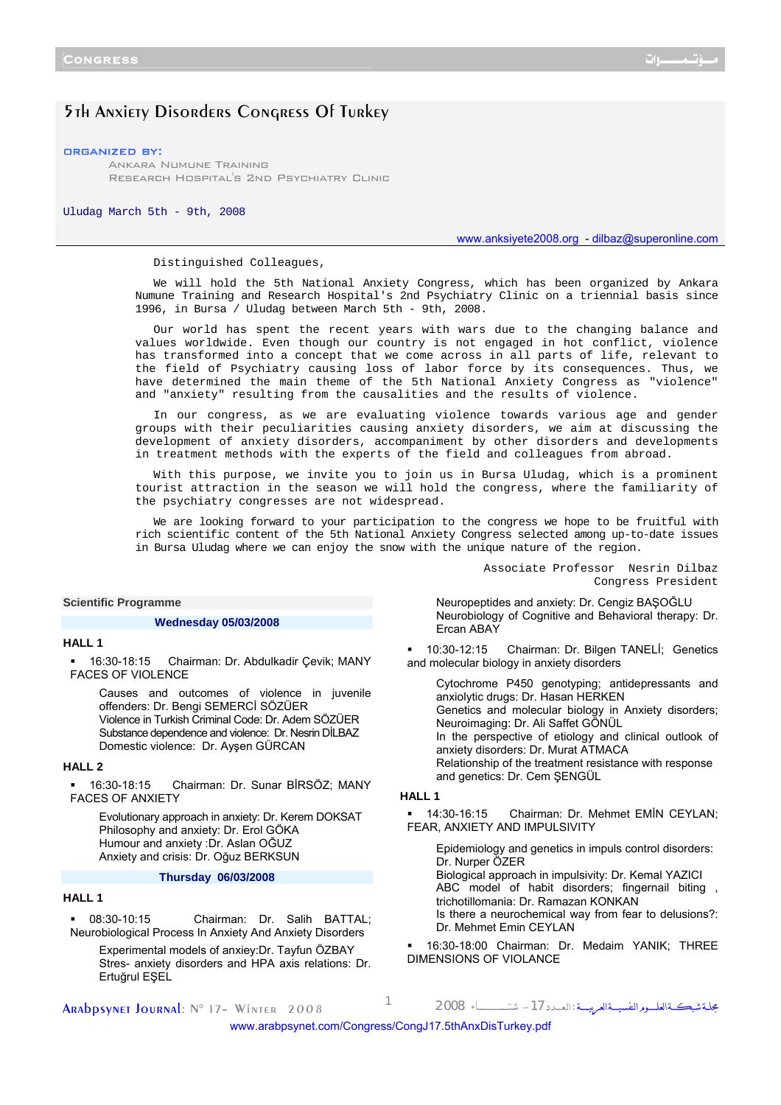# 5th Anxiety Disorders Congress Of Turkey

#### organized by:

Ankara Numune Training Research Hospital's 2nd Psychiatry Clinic

#### Uludag March 5th - 9th, 2008

<www.anksiyete2008.org>- dilbaz@superonline.com

Distinguished Colleagues,

We will hold the 5th National Anxiety Congress, which has been organized by Ankara Numune Training and Research Hospital's 2nd Psychiatry Clinic on a triennial basis since 1996, in Bursa / Uludag between March 5th - 9th, 2008.

Our world has spent the recent years with wars due to the changing balance and values worldwide. Even though our country is not engaged in hot conflict, violence has transformed into a concept that we come across in all parts of life, relevant to the field of Psychiatry causing loss of labor force by its consequences. Thus, we have determined the main theme of the 5th National Anxiety Congress as "violence" and "anxiety" resulting from the causalities and the results of violence.

In our congress, as we are evaluating violence towards various age and gender groups with their peculiarities causing anxiety disorders, we aim at discussing the development of anxiety disorders, accompaniment by other disorders and developments in treatment methods with the experts of the field and colleagues from abroad.

With this purpose, we invite you to join us in Bursa Uludag, which is a prominent tourist attraction in the season we will hold the congress, where the familiarity of the psychiatry congresses are not widespread.

We are looking forward to your participation to the congress we hope to be fruitful with rich scientific content of the 5th National Anxiety Congress selected among up-to-date issues in Bursa Uludag where we can enjoy the snow with the unique nature of the region.

> Associate Professor Nesrin Dilbaz Congress President

#### **Scientific Programme**

## **Wednesday 05/03/2008**

#### **HALL 1**

 16:30-18:15 Chairman: Dr. Abdulkadir Çevik; MANY FACES OF VIOLENCE

Causes and outcomes of violence in juvenile offenders: Dr. Bengi SEMERCİ SÖZÜER Violence in Turkish Criminal Code: Dr. Adem SÖZÜER Substance dependence and violence: Dr. Nesrin DİLBAZ Domestic violence: Dr. Ayşen GÜRCAN

## **HALL 2**

 16:30-18:15 Chairman: Dr. Sunar BİRSÖZ; MANY FACES OF ANXIETY

Evolutionary approach in anxiety: Dr. Kerem DOKSAT Philosophy and anxiety: Dr. Erol GÖKA Humour and anxiety :Dr. Aslan OĞUZ Anxiety and crisis: Dr. Oğuz BERKSUN

## **Thursday 06/03/2008**

## **HALL 1**

 08:30-10:15 Chairman: Dr. Salih BATTAL; Neurobiological Process In Anxiety And Anxiety Disorders

Experimental models of anxiey:Dr. Tayfun ÖZBAY Stres- anxiety disorders and HPA axis relations: Dr. Ertuğrul EŞEL

Neuropeptides and anxiety: Dr. Cengiz BAŞOĞLU Neurobiology of Cognitive and Behavioral therapy: Dr. Ercan ABAY

 10:30-12:15 Chairman: Dr. Bilgen TANELİ; Genetics and molecular biology in anxiety disorders

Cytochrome P450 genotyping; antidepressants and anxiolytic drugs: Dr. Hasan HERKEN Genetics and molecular biology in Anxiety disorders; Neuroimaging: Dr. Ali Saffet GÖNÜL In the perspective of etiology and clinical outlook of anxiety disorders: Dr. Murat ATMACA Relationship of the treatment resistance with response and genetics: Dr. Cem ŞENGÜL

# **HALL 1**

 14:30-16:15 Chairman: Dr. Mehmet EMİN CEYLAN; FEAR, ANXIETY AND IMPULSIVITY

Epidemiology and genetics in impuls control disorders: Dr. Nurper ÖZER Biological approach in impulsivity: Dr. Kemal YAZICI ABC model of habit disorders; fingernail biting , trichotillomania: Dr. Ramazan KONKAN Is there a neurochemical way from fear to delusions?: Dr. Mehmet Emin CEYLAN

 16:30-18:00 Chairman: Dr. Medaim YANIK; THREE DIMENSIONS OF VIOLANCE

Arabpsynet Journal: N° 17– Winter 2008 <sup>1</sup> <sup>2008</sup> شتــــــــــــــــــــاء -17الـعــــدد: مجلــةشبكـــةالعلــــــومالنفسيــــةالعربيـــــة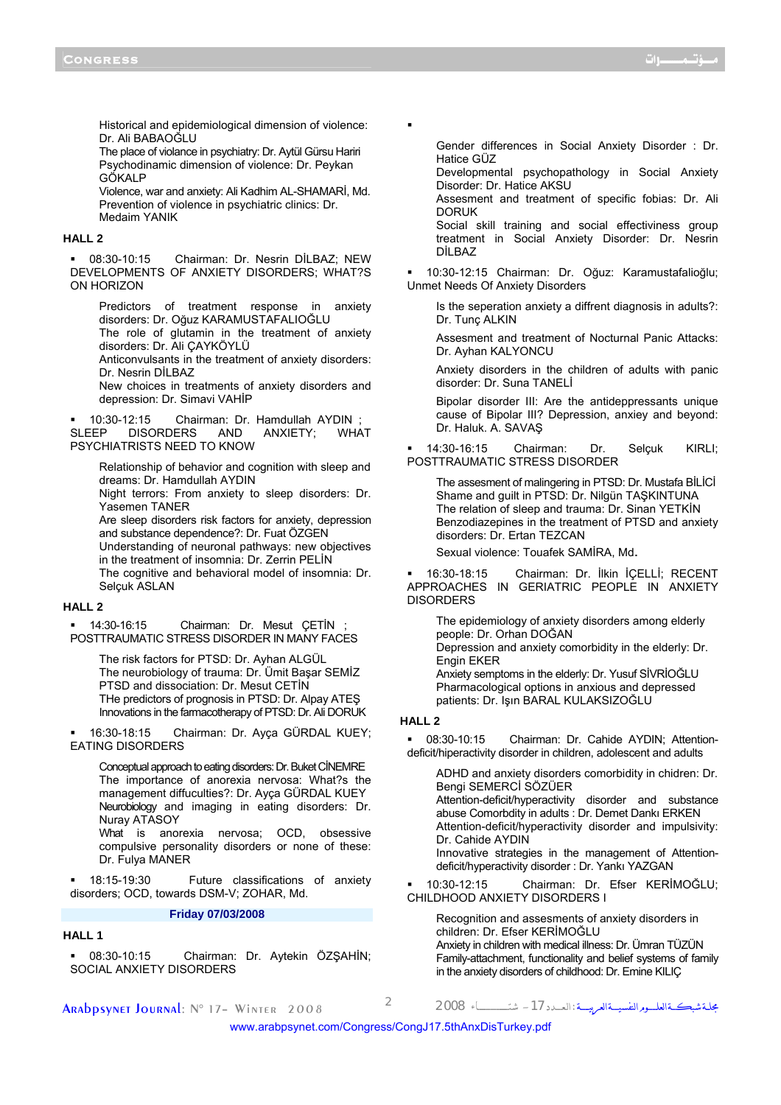Historical and epidemiological dimension of violence: Dr. Ali BABAOĞLU

The place of violance in psychiatry: Dr. Aytül Gürsu Hariri Psychodinamic dimension of violence: Dr. Peykan GÖKALP

Violence, war and anxiety: Ali Kadhim AL-SHAMARİ, Md. Prevention of violence in psychiatric clinics: Dr. Medaim YANIK

## **HALL 2**

 08:30-10:15 Chairman: Dr. Nesrin DİLBAZ; NEW DEVELOPMENTS OF ANXIETY DISORDERS; WHAT?S ON HORIZON

Predictors of treatment response in anxiety disorders: Dr. Oğuz KARAMUSTAFALIOĞLU

The role of glutamin in the treatment of anxiety disorders: Dr. Ali ÇAYKÖYLÜ

Anticonvulsants in the treatment of anxiety disorders: Dr. Nesrin DİLBAZ

New choices in treatments of anxiety disorders and depression: Dr. Simavi VAHİP

 10:30-12:15 Chairman: Dr. Hamdullah AYDIN ; SLEEP DISORDERS AND ANXIETY; WHAT PSYCHIATRISTS NEED TO KNOW

Relationship of behavior and cognition with sleep and dreams: Dr. Hamdullah AYDIN

Night terrors: From anxiety to sleep disorders: Dr. Yasemen TANER

Are sleep disorders risk factors for anxiety, depression and substance dependence?: Dr. Fuat ÖZGEN Understanding of neuronal pathways: new objectives

in the treatment of insomnia: Dr. Zerrin PELİN The cognitive and behavioral model of insomnia: Dr. Selçuk ASLAN

## **HALL 2**

 14:30-16:15 Chairman: Dr. Mesut ÇETİN ; POSTTRAUMATIC STRESS DISORDER IN MANY FACES

> The risk factors for PTSD: Dr. Ayhan ALGÜL The neurobiology of trauma: Dr. Ümit Başar SEMİZ PTSD and dissociation: Dr. Mesut CETİN THe predictors of prognosis in PTSD: Dr. Alpay ATEŞ Innovations in the farmacotherapy of PTSD: Dr. Ali DORUK

 16:30-18:15 Chairman: Dr. Ayça GÜRDAL KUEY; EATING DISORDERS

Conceptual approach to eating disorders: Dr. Buket CİNEMRE The importance of anorexia nervosa: What?s the management diffuculties?: Dr. Ayça GÜRDAL KUEY Neurobiology and imaging in eating disorders: Dr. Nuray ATASOY What is anorexia nervosa; OCD, obsessive compulsive personality disorders or none of these:

Dr. Fulya MANER

 18:15-19:30 Future classifications of anxiety disorders; OCD, towards DSM-V; ZOHAR, Md.

## **Friday 07/03/2008**

## **HALL 1**

 08:30-10:15 Chairman: Dr. Aytekin ÖZŞAHİN; SOCIAL ANXIETY DISORDERS

٠

Gender differences in Social Anxiety Disorder : Dr. Hatice GÜZ

Developmental psychopathology in Social Anxiety Disorder: Dr. Hatice AKSU

Assesment and treatment of specific fobias: Dr. Ali DORUK

Social skill training and social effectiviness group treatment in Social Anxiety Disorder: Dr. Nesrin DİLBAZ

 10:30-12:15 Chairman: Dr. Oğuz: Karamustafalioğlu; Unmet Needs Of Anxiety Disorders

Is the seperation anxiety a diffrent diagnosis in adults?: Dr. Tunç ALKIN

Assesment and treatment of Nocturnal Panic Attacks: Dr. Ayhan KALYONCU

Anxiety disorders in the children of adults with panic disorder: Dr. Suna TANELİ

Bipolar disorder III: Are the antideppressants unique cause of Bipolar III? Depression, anxiey and beyond: Dr. Haluk. A. SAVAŞ

 14:30-16:15 Chairman: Dr. Selçuk KIRLI; POSTTRAUMATIC STRESS DISORDER

The assesment of malingering in PTSD: Dr. Mustafa BİLİCİ Shame and guilt in PTSD: Dr. Nilgün TAŞKINTUNA The relation of sleep and trauma: Dr. Sinan YETKİN Benzodiazepines in the treatment of PTSD and anxiety disorders: Dr. Ertan TEZCAN

Sexual violence: Touafek SAMİRA, Md.

 16:30-18:15 Chairman: Dr. İlkin İÇELLİ; RECENT APPROACHES IN GERIATRIC PEOPLE IN ANXIETY **DISORDERS** 

The epidemiology of anxiety disorders among elderly people: Dr. Orhan DOĞAN

Depression and anxiety comorbidity in the elderly: Dr. Engin EKER

Anxiety semptoms in the elderly: Dr. Yusuf SİVRİOĞLU Pharmacological options in anxious and depressed patients: Dr. Işın BARAL KULAKSIZOĞLU

#### **HALL 2**

 08:30-10:15 Chairman: Dr. Cahide AYDIN; Attentiondeficit/hiperactivity disorder in children, adolescent and adults

ADHD and anxiety disorders comorbidity in chidren: Dr. Bengi SEMERCİ SÖZÜER Attention-deficit/hyperactivity disorder and substance abuse Comorbdity in adults : Dr. Demet Dankı ERKEN Attention-deficit/hyperactivity disorder and impulsivity: Dr. Cahide AYDIN Innovative strategies in the management of Attention-

deficit/hyperactivity disorder : Dr. Yankı YAZGAN

 10:30-12:15 Chairman: Dr. Efser KERİMOĞLU; CHILDHOOD ANXIETY DISORDERS I

Recognition and assesments of anxiety disorders in children: Dr. Efser KERİMOĞLU Anxiety in children with medical illness: Dr. Ümran TÜZÜN Family-attachment, functionality and belief systems of family in the anxiety disorders of childhood: Dr. Emine KILIÇ